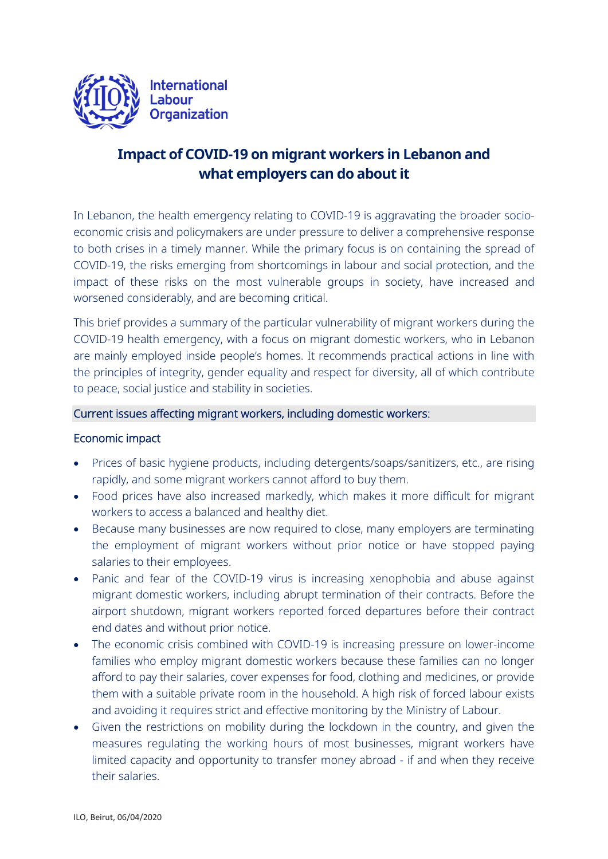

# **Impact of COVID-19 on migrant workers in Lebanon and what employers can do about it**

In Lebanon, the health emergency relating to COVID-19 is aggravating the broader socioeconomic crisis and policymakers are under pressure to deliver a comprehensive response to both crises in a timely manner. While the primary focus is on containing the spread of COVID-19, the risks emerging from shortcomings in labour and social protection, and the impact of these risks on the most vulnerable groups in society, have increased and worsened considerably, and are becoming critical.

This brief provides a summary of the particular vulnerability of migrant workers during the COVID-19 health emergency, with a focus on migrant domestic workers, who in Lebanon are mainly employed inside people's homes. It recommends practical actions in line with the principles of integrity, gender equality and respect for diversity, all of which contribute to peace, social justice and stability in societies.

#### Current issues affecting migrant workers, including domestic workers:

#### Economic impact

- Prices of basic hygiene products, including detergents/soaps/sanitizers, etc., are rising rapidly, and some migrant workers cannot afford to buy them.
- Food prices have also increased markedly, which makes it more difficult for migrant workers to access a balanced and healthy diet.
- Because many businesses are now required to close, many employers are terminating the employment of migrant workers without prior notice or have stopped paying salaries to their employees.
- Panic and fear of the COVID-19 virus is increasing xenophobia and abuse against migrant domestic workers, including abrupt termination of their contracts. Before the airport shutdown, migrant workers reported forced departures before their contract end dates and without prior notice.
- The economic crisis combined with COVID-19 is increasing pressure on lower-income families who employ migrant domestic workers because these families can no longer afford to pay their salaries, cover expenses for food, clothing and medicines, or provide them with a suitable private room in the household. A high risk of forced labour exists and avoiding it requires strict and effective monitoring by the Ministry of Labour.
- Given the restrictions on mobility during the lockdown in the country, and given the measures regulating the working hours of most businesses, migrant workers have limited capacity and opportunity to transfer money abroad - if and when they receive their salaries.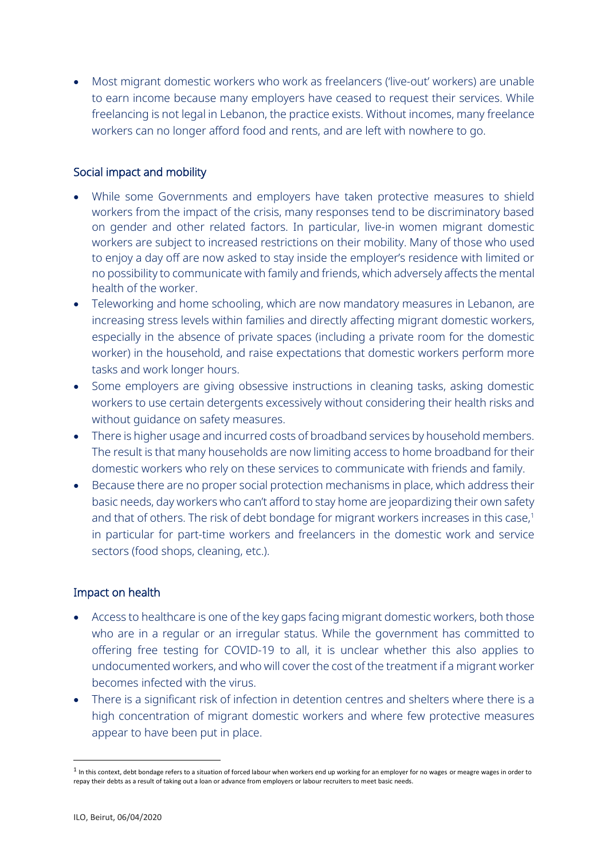Most migrant domestic workers who work as freelancers ('live-out' workers) are unable to earn income because many employers have ceased to request their services. While freelancing is not legal in Lebanon, the practice exists. Without incomes, many freelance workers can no longer afford food and rents, and are left with nowhere to go.

# Social impact and mobility

- While some Governments and employers have taken protective measures to shield workers from the impact of the crisis, many responses tend to be discriminatory based on gender and other related factors. In particular, live-in women migrant domestic workers are subject to increased restrictions on their mobility. Many of those who used to enjoy a day off are now asked to stay inside the employer's residence with limited or no possibility to communicate with family and friends, which adversely affects the mental health of the worker.
- Teleworking and home schooling, which are now mandatory measures in Lebanon, are increasing stress levels within families and directly affecting migrant domestic workers, especially in the absence of private spaces (including a private room for the domestic worker) in the household, and raise expectations that domestic workers perform more tasks and work longer hours.
- Some employers are giving obsessive instructions in cleaning tasks, asking domestic workers to use certain detergents excessively without considering their health risks and without guidance on safety measures.
- There is higher usage and incurred costs of broadband services by household members. The result is that many households are now limiting access to home broadband for their domestic workers who rely on these services to communicate with friends and family.
- Because there are no proper social protection mechanisms in place, which address their basic needs, day workers who can't afford to stay home are jeopardizing their own safety and that of others. The risk of debt bondage for migrant workers increases in this case,<sup>1</sup> in particular for part-time workers and freelancers in the domestic work and service sectors (food shops, cleaning, etc.).

# Impact on health

- Access to healthcare is one of the key gaps facing migrant domestic workers, both those who are in a regular or an irregular status. While the government has committed to offering free testing for COVID-19 to all, it is unclear whether this also applies to undocumented workers, and who will cover the cost of the treatment if a migrant worker becomes infected with the virus.
- There is a significant risk of infection in detention centres and shelters where there is a high concentration of migrant domestic workers and where few protective measures appear to have been put in place.

 $\overline{\phantom{a}}$ 

 $1$  In this context, debt bondage refers to a situation of forced labour when workers end up working for an employer for no wages or meagre wages in order to repay their debts as a result of taking out a loan or advance from employers or labour recruiters to meet basic needs.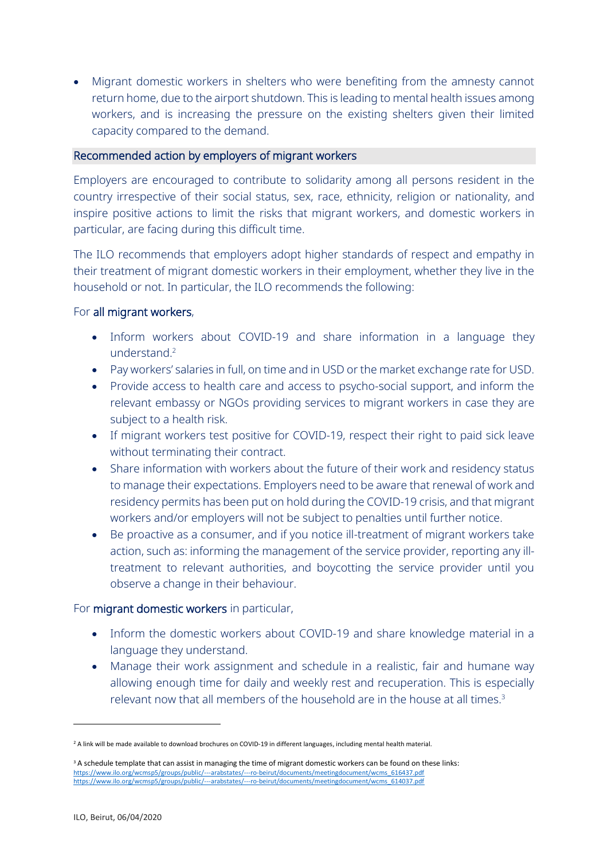Migrant domestic workers in shelters who were benefiting from the amnesty cannot return home, due to the airport shutdown. This is leading to mental health issues among workers, and is increasing the pressure on the existing shelters given their limited capacity compared to the demand.

#### Recommended action by employers of migrant workers

Employers are encouraged to contribute to solidarity among all persons resident in the country irrespective of their social status, sex, race, ethnicity, religion or nationality, and inspire positive actions to limit the risks that migrant workers, and domestic workers in particular, are facing during this difficult time.

The ILO recommends that employers adopt higher standards of respect and empathy in their treatment of migrant domestic workers in their employment, whether they live in the household or not. In particular, the ILO recommends the following:

## For all migrant workers,

- Inform workers about COVID-19 and share information in a language they understand. 2
- Pay workers' salaries in full, on time and in USD or the market exchange rate for USD.
- Provide access to health care and access to psycho-social support, and inform the relevant embassy or NGOs providing services to migrant workers in case they are subject to a health risk.
- If migrant workers test positive for COVID-19, respect their right to paid sick leave without terminating their contract.
- Share information with workers about the future of their work and residency status to manage their expectations. Employers need to be aware that renewal of work and residency permits has been put on hold during the COVID-19 crisis, and that migrant workers and/or employers will not be subject to penalties until further notice.
- Be proactive as a consumer, and if you notice ill-treatment of migrant workers take action, such as: informing the management of the service provider, reporting any illtreatment to relevant authorities, and boycotting the service provider until you observe a change in their behaviour.

## For migrant domestic workers in particular,

- Inform the domestic workers about COVID-19 and share knowledge material in a language they understand.
- Manage their work assignment and schedule in a realistic, fair and humane way allowing enough time for daily and weekly rest and recuperation. This is especially relevant now that all members of the household are in the house at all times.<sup>3</sup>

**.** 

<sup>&</sup>lt;sup>2</sup> A link will be made available to download brochures on COVID-19 in different languages, including mental health material.

<sup>&</sup>lt;sup>3</sup> A schedule template that can assist in managing the time of migrant domestic workers can be found on these links: https://www.ilo.org/wcmsp5/groups/public/---arabstates/---ro-beirut/documents/meetingdocument/wcms\_616437.pdf [https://www.ilo.org/wcmsp5/groups/public/---arabstates/---ro-beirut/documents/meetingdocument/wcms\\_614037.pdf](https://www.ilo.org/wcmsp5/groups/public/---arabstates/---ro-beirut/documents/meetingdocument/wcms_614037.pdf)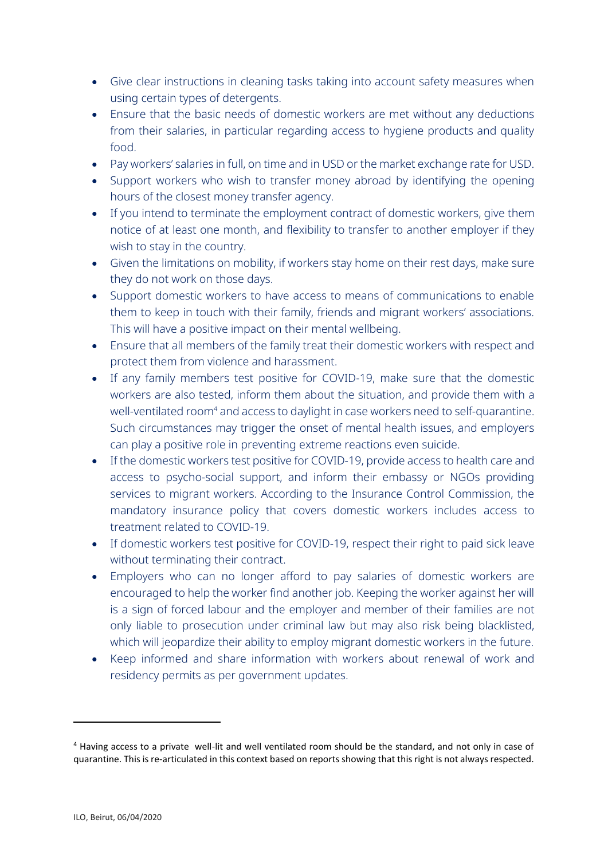- Give clear instructions in cleaning tasks taking into account safety measures when using certain types of detergents.
- Ensure that the basic needs of domestic workers are met without any deductions from their salaries, in particular regarding access to hygiene products and quality food.
- Pay workers' salaries in full, on time and in USD or the market exchange rate for USD.
- Support workers who wish to transfer money abroad by identifying the opening hours of the closest money transfer agency.
- If you intend to terminate the employment contract of domestic workers, give them notice of at least one month, and flexibility to transfer to another employer if they wish to stay in the country.
- Given the limitations on mobility, if workers stay home on their rest days, make sure they do not work on those days.
- Support domestic workers to have access to means of communications to enable them to keep in touch with their family, friends and migrant workers' associations. This will have a positive impact on their mental wellbeing.
- Ensure that all members of the family treat their domestic workers with respect and protect them from violence and harassment.
- If any family members test positive for COVID-19, make sure that the domestic workers are also tested, inform them about the situation, and provide them with a well-ventilated room<sup>4</sup> and access to daylight in case workers need to self-quarantine. Such circumstances may trigger the onset of mental health issues, and employers can play a positive role in preventing extreme reactions even suicide.
- If the domestic workers test positive for COVID-19, provide access to health care and access to psycho-social support, and inform their embassy or NGOs providing services to migrant workers. According to the Insurance Control Commission, the mandatory insurance policy that covers domestic workers includes access to treatment related to COVID-19.
- If domestic workers test positive for COVID-19, respect their right to paid sick leave without terminating their contract.
- Employers who can no longer afford to pay salaries of domestic workers are encouraged to help the worker find another job. Keeping the worker against her will is a sign of forced labour and the employer and member of their families are not only liable to prosecution under criminal law but may also risk being blacklisted, which will jeopardize their ability to employ migrant domestic workers in the future.
- Keep informed and share information with workers about renewal of work and residency permits as per government updates.

**.** 

<sup>4</sup> Having access to a private well-lit and well ventilated room should be the standard, and not only in case of quarantine. This is re-articulated in this context based on reports showing that this right is not always respected.